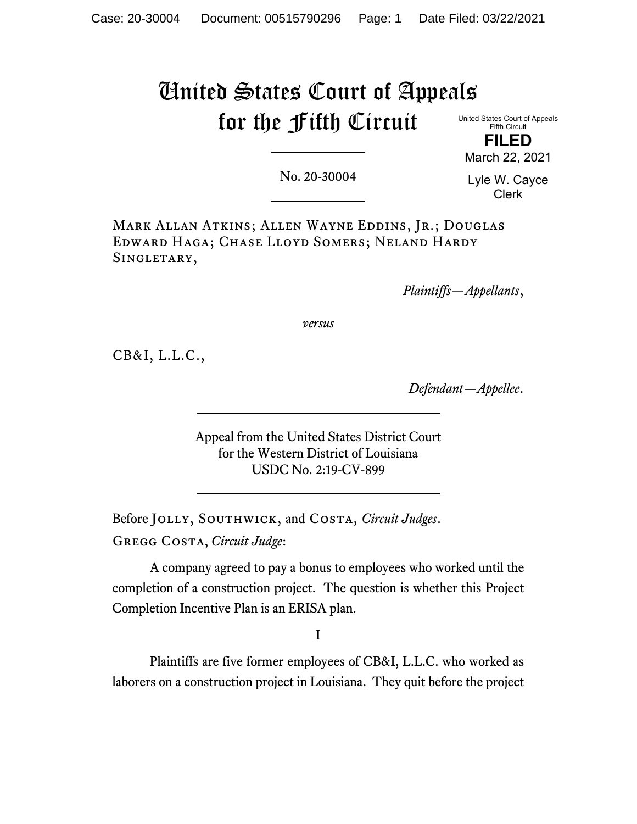# United States Court of Appeals for the Fifth Circuit

United States Court of Appeals Fifth Circuit **FILED**

March 22, 2021

No. 20-30004

Lyle W. Cayce Clerk

Mark Allan Atkins; Allen Wayne Eddins, Jr.; Douglas Edward Haga; Chase Lloyd Somers; Neland Hardy SINGLETARY,

*Plaintiffs—Appellants*,

*versus*

CB&I, L.L.C.,

*Defendant—Appellee*.

Appeal from the United States District Court for the Western District of Louisiana USDC No. 2:19-CV-899

Before Jolly, Southwick, and Costa, *Circuit Judges*. Gregg Costa, *Circuit Judge*:

A company agreed to pay a bonus to employees who worked until the completion of a construction project. The question is whether this Project Completion Incentive Plan is an ERISA plan.

I

Plaintiffs are five former employees of CB&I, L.L.C. who worked as laborers on a construction project in Louisiana. They quit before the project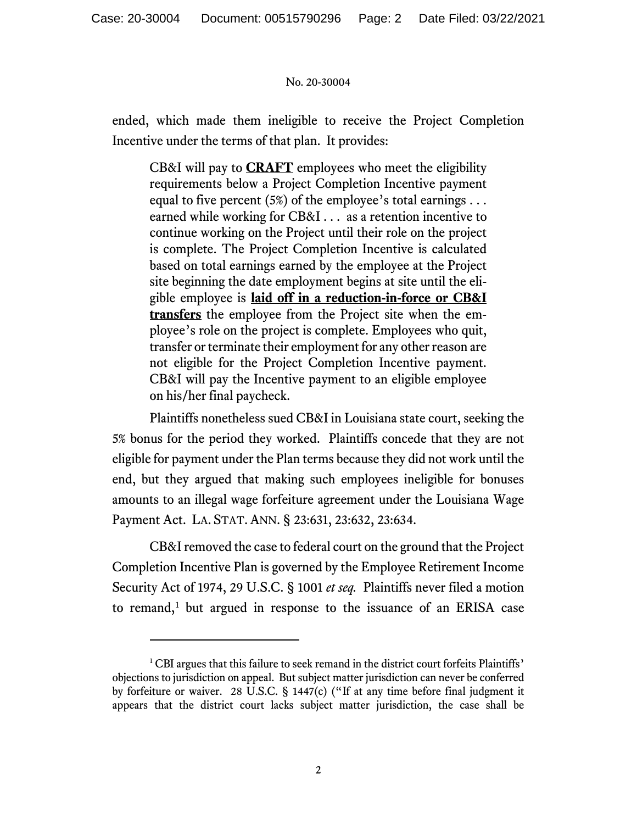ended, which made them ineligible to receive the Project Completion Incentive under the terms of that plan. It provides:

CB&I will pay to **CRAFT** employees who meet the eligibility requirements below a Project Completion Incentive payment equal to five percent (5%) of the employee's total earnings . . . earned while working for CB&I . . . as a retention incentive to continue working on the Project until their role on the project is complete. The Project Completion Incentive is calculated based on total earnings earned by the employee at the Project site beginning the date employment begins at site until the eligible employee is **laid off in a reduction-in-force or CB&I transfers** the employee from the Project site when the employee's role on the project is complete. Employees who quit, transfer or terminate their employment for any other reason are not eligible for the Project Completion Incentive payment. CB&I will pay the Incentive payment to an eligible employee on his/her final paycheck.

Plaintiffs nonetheless sued CB&I in Louisiana state court, seeking the 5% bonus for the period they worked. Plaintiffs concede that they are not eligible for payment under the Plan terms because they did not work until the end, but they argued that making such employees ineligible for bonuses amounts to an illegal wage forfeiture agreement under the Louisiana Wage Payment Act. LA. STAT.ANN. § 23:631, 23:632, 23:634.

CB&I removed the case to federal court on the ground that the Project Completion Incentive Plan is governed by the Employee Retirement Income Security Act of 1974, 29 U.S.C. § 1001 *et seq.* Plaintiffs never filed a motion to remand,<sup>[1](#page-1-0)</sup> but argued in response to the issuance of an ERISA case

<span id="page-1-0"></span><sup>&</sup>lt;sup>1</sup> CBI argues that this failure to seek remand in the district court forfeits Plaintiffs' objections to jurisdiction on appeal. But subject matter jurisdiction can never be conferred by forfeiture or waiver. 28 U.S.C. § 1447(c) ("If at any time before final judgment it appears that the district court lacks subject matter jurisdiction, the case shall be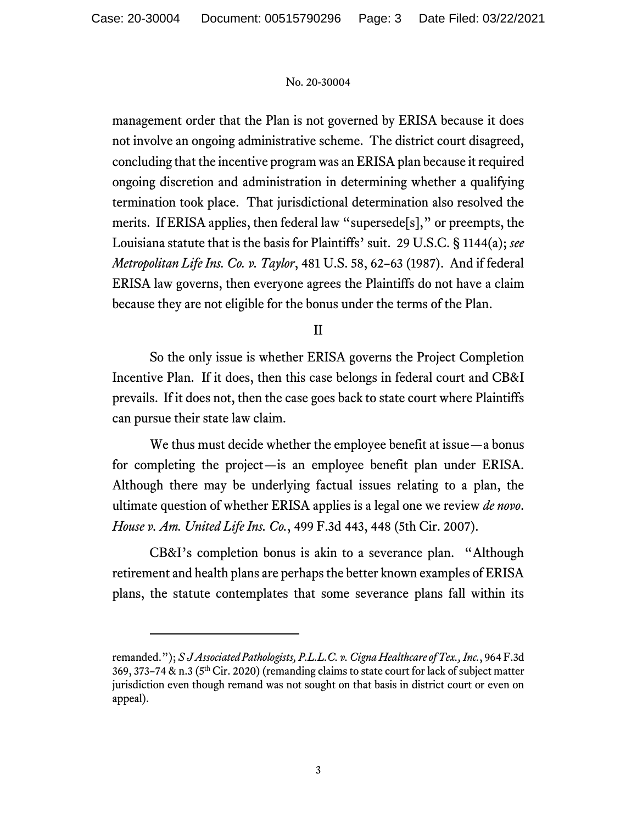management order that the Plan is not governed by ERISA because it does not involve an ongoing administrative scheme. The district court disagreed, concluding that the incentive program was an ERISA plan because it required ongoing discretion and administration in determining whether a qualifying termination took place. That jurisdictional determination also resolved the merits. If ERISA applies, then federal law "supersede[s]," or preempts, the Louisiana statute that is the basis for Plaintiffs' suit. 29 U.S.C. § 1144(a); *see Metropolitan Life Ins. Co. v. Taylor*, 481 U.S. 58, 62–63 (1987). And if federal ERISA law governs, then everyone agrees the Plaintiffs do not have a claim because they are not eligible for the bonus under the terms of the Plan.

II

So the only issue is whether ERISA governs the Project Completion Incentive Plan. If it does, then this case belongs in federal court and CB&I prevails. If it does not, then the case goes back to state court where Plaintiffs can pursue their state law claim.

We thus must decide whether the employee benefit at issue—a bonus for completing the project—is an employee benefit plan under ERISA. Although there may be underlying factual issues relating to a plan, the ultimate question of whether ERISA applies is a legal one we review *de novo*. *House v. Am. United Life Ins. Co.*, 499 F.3d 443, 448 (5th Cir. 2007).

CB&I's completion bonus is akin to a severance plan. "Although retirement and health plans are perhaps the better known examples of ERISA plans, the statute contemplates that some severance plans fall within its

remanded."); *S J Associated Pathologists, P.L.L.C. v. Cigna Healthcare of Tex., Inc.*, 964 F.3d  $369, 373-74$  & n.3 ( $5<sup>th</sup>$  Cir. 2020) (remanding claims to state court for lack of subject matter jurisdiction even though remand was not sought on that basis in district court or even on appeal).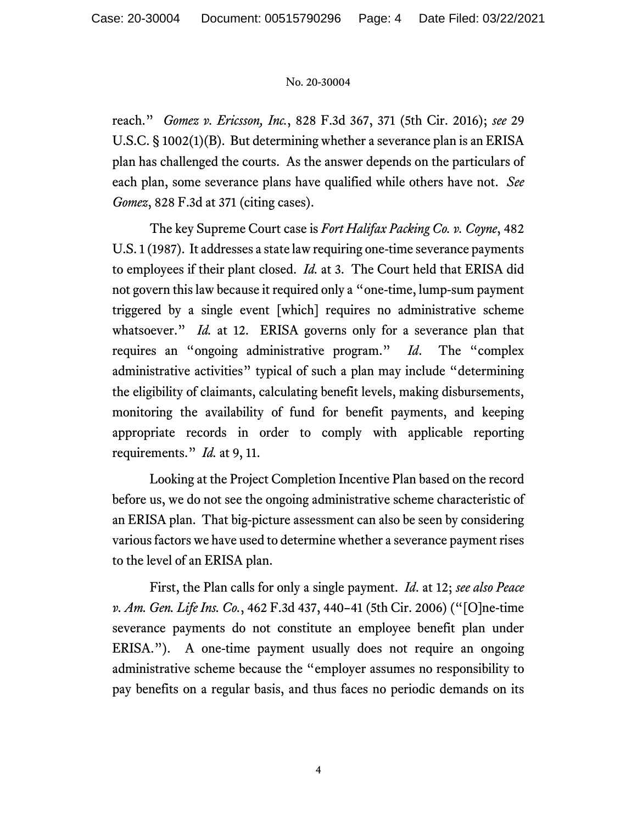reach." *Gomez v. Ericsson, Inc.*, 828 F.3d 367, 371 (5th Cir. 2016); *see* 29 U.S.C. § 1002(1)(B). But determining whether a severance plan is an ERISA plan has challenged the courts. As the answer depends on the particulars of each plan, some severance plans have qualified while others have not. *See Gomez*, 828 F.3d at 371 (citing cases).

The key Supreme Court case is *Fort Halifax Packing Co. v. Coyne*, 482 U.S. 1 (1987). It addresses a state law requiring one-time severance payments to employees if their plant closed. *Id.* at 3. The Court held that ERISA did not govern this law because it required only a "one-time, lump-sum payment triggered by a single event [which] requires no administrative scheme whatsoever." *Id.* at 12. ERISA governs only for a severance plan that requires an "ongoing administrative program." *Id*.The "complex administrative activities" typical of such a plan may include "determining the eligibility of claimants, calculating benefit levels, making disbursements, monitoring the availability of fund for benefit payments, and keeping appropriate records in order to comply with applicable reporting requirements." *Id.* at 9, 11.

Looking at the Project Completion Incentive Plan based on the record before us, we do not see the ongoing administrative scheme characteristic of an ERISA plan. That big-picture assessment can also be seen by considering various factors we have used to determine whether a severance payment rises to the level of an ERISA plan.

First, the Plan calls for only a single payment. *Id*. at 12; *see also Peace v. Am. Gen. Life Ins. Co.*, 462 F.3d 437, 440–41 (5th Cir. 2006) ("[O]ne-time severance payments do not constitute an employee benefit plan under ERISA."). A one-time payment usually does not require an ongoing administrative scheme because the "employer assumes no responsibility to pay benefits on a regular basis, and thus faces no periodic demands on its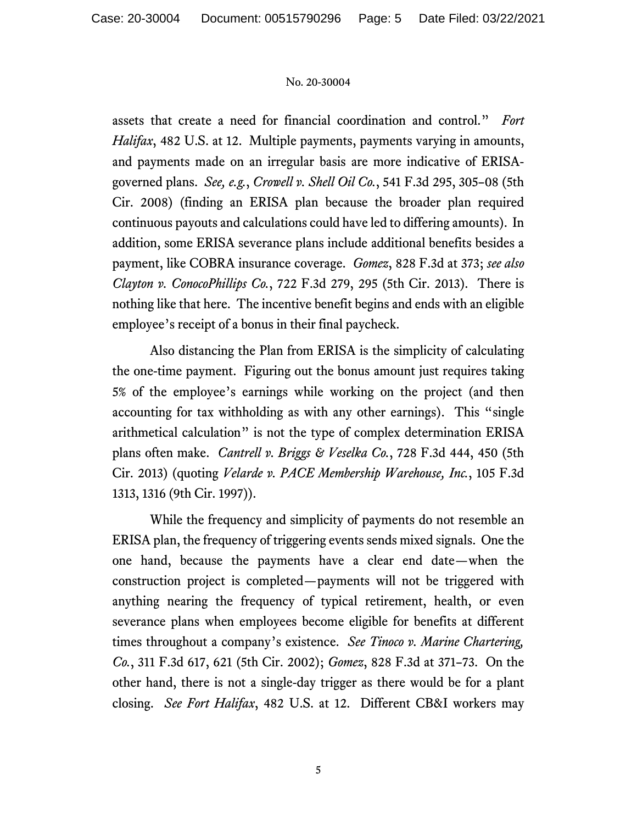assets that create a need for financial coordination and control." *Fort Halifax*, 482 U.S. at 12. Multiple payments, payments varying in amounts, and payments made on an irregular basis are more indicative of ERISAgoverned plans. *See, e.g.*, *Crowell v. Shell Oil Co.*, 541 F.3d 295, 305–08 (5th Cir. 2008) (finding an ERISA plan because the broader plan required continuous payouts and calculations could have led to differing amounts). In addition, some ERISA severance plans include additional benefits besides a payment, like COBRA insurance coverage. *Gomez*, 828 F.3d at 373; *see also Clayton v. ConocoPhillips Co.*, 722 F.3d 279, 295 (5th Cir. 2013). There is nothing like that here. The incentive benefit begins and ends with an eligible employee's receipt of a bonus in their final paycheck.

Also distancing the Plan from ERISA is the simplicity of calculating the one-time payment. Figuring out the bonus amount just requires taking 5% of the employee's earnings while working on the project (and then accounting for tax withholding as with any other earnings). This "single arithmetical calculation" is not the type of complex determination ERISA plans often make. *Cantrell v. Briggs & Veselka Co.*, 728 F.3d 444, 450 (5th Cir. 2013) (quoting *Velarde v. PACE Membership Warehouse, Inc.*, 105 F.3d 1313, 1316 (9th Cir. 1997)).

While the frequency and simplicity of payments do not resemble an ERISA plan, the frequency of triggering events sends mixed signals. One the one hand, because the payments have a clear end date—when the construction project is completed—payments will not be triggered with anything nearing the frequency of typical retirement, health, or even severance plans when employees become eligible for benefits at different times throughout a company's existence. *See Tinoco v. Marine Chartering, Co.*, 311 F.3d 617, 621 (5th Cir. 2002); *Gomez*, 828 F.3d at 371–73. On the other hand, there is not a single-day trigger as there would be for a plant closing. *See Fort Halifax*, 482 U.S. at 12. Different CB&I workers may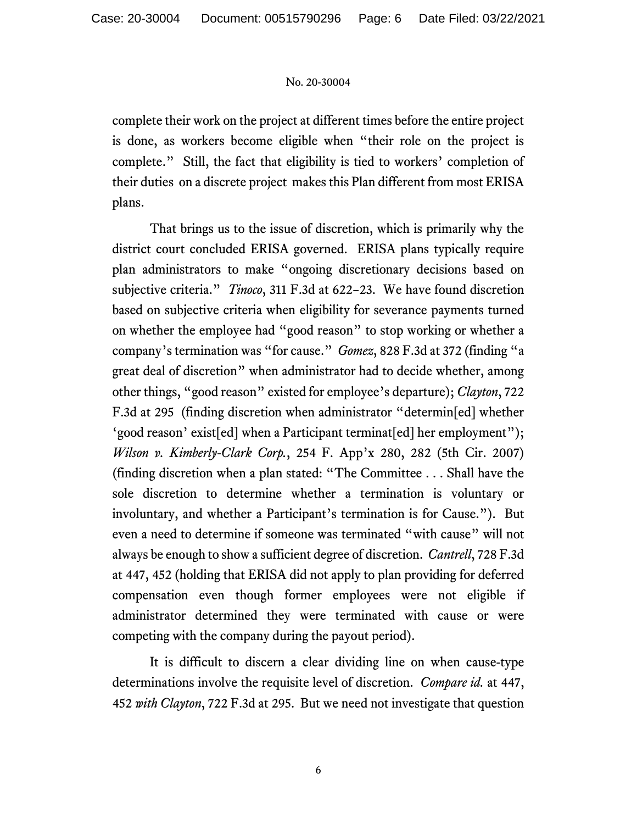complete their work on the project at different times before the entire project is done, as workers become eligible when "their role on the project is complete." Still, the fact that eligibility is tied to workers' completion of their duties on a discrete project makes this Plan different from most ERISA plans.

That brings us to the issue of discretion, which is primarily why the district court concluded ERISA governed. ERISA plans typically require plan administrators to make "ongoing discretionary decisions based on subjective criteria." *Tinoco*, 311 F.3d at 622–23. We have found discretion based on subjective criteria when eligibility for severance payments turned on whether the employee had "good reason" to stop working or whether a company's termination was "for cause." *Gomez*, 828 F.3d at 372 (finding "a great deal of discretion" when administrator had to decide whether, among other things, "good reason" existed for employee's departure); *Clayton*, 722 F.3d at 295 (finding discretion when administrator "determin[ed] whether 'good reason' exist[ed] when a Participant terminat[ed] her employment"); *Wilson v. Kimberly-Clark Corp.*, 254 F. App'x 280, 282 (5th Cir. 2007) (finding discretion when a plan stated: "The Committee . . . Shall have the sole discretion to determine whether a termination is voluntary or involuntary, and whether a Participant's termination is for Cause."). But even a need to determine if someone was terminated "with cause" will not always be enough to show a sufficient degree of discretion. *Cantrell*, 728 F.3d at 447, 452 (holding that ERISA did not apply to plan providing for deferred compensation even though former employees were not eligible if administrator determined they were terminated with cause or were competing with the company during the payout period).

It is difficult to discern a clear dividing line on when cause-type determinations involve the requisite level of discretion. *Compare id.* at 447, 452 *with Clayton*, 722 F.3d at 295. But we need not investigate that question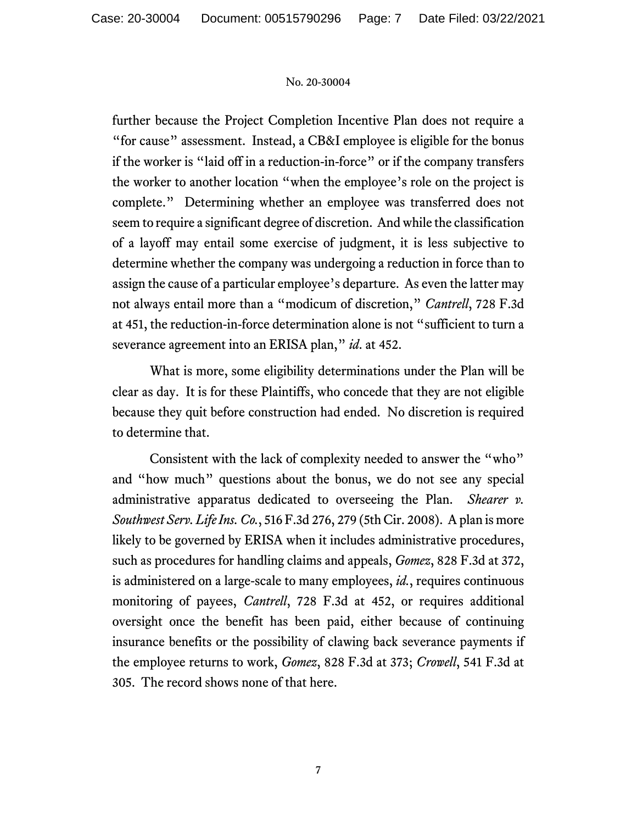further because the Project Completion Incentive Plan does not require a "for cause" assessment. Instead, a CB&I employee is eligible for the bonus if the worker is "laid off in a reduction-in-force" or if the company transfers the worker to another location "when the employee's role on the project is complete." Determining whether an employee was transferred does not seem to require a significant degree of discretion. And while the classification of a layoff may entail some exercise of judgment, it is less subjective to determine whether the company was undergoing a reduction in force than to assign the cause of a particular employee's departure. As even the latter may not always entail more than a "modicum of discretion," *Cantrell*, 728 F.3d at 451, the reduction-in-force determination alone is not "sufficient to turn a severance agreement into an ERISA plan," *id*. at 452.

What is more, some eligibility determinations under the Plan will be clear as day. It is for these Plaintiffs, who concede that they are not eligible because they quit before construction had ended. No discretion is required to determine that.

Consistent with the lack of complexity needed to answer the "who" and "how much" questions about the bonus, we do not see any special administrative apparatus dedicated to overseeing the Plan. *Shearer v. Southwest Serv. Life Ins. Co.*, 516 F.3d 276, 279 (5th Cir. 2008). A plan is more likely to be governed by ERISA when it includes administrative procedures, such as procedures for handling claims and appeals, *Gomez*, 828 F.3d at 372, is administered on a large-scale to many employees, *id.*, requires continuous monitoring of payees, *Cantrell*, 728 F.3d at 452, or requires additional oversight once the benefit has been paid, either because of continuing insurance benefits or the possibility of clawing back severance payments if the employee returns to work, *Gomez*, 828 F.3d at 373; *Crowell*, 541 F.3d at 305. The record shows none of that here.